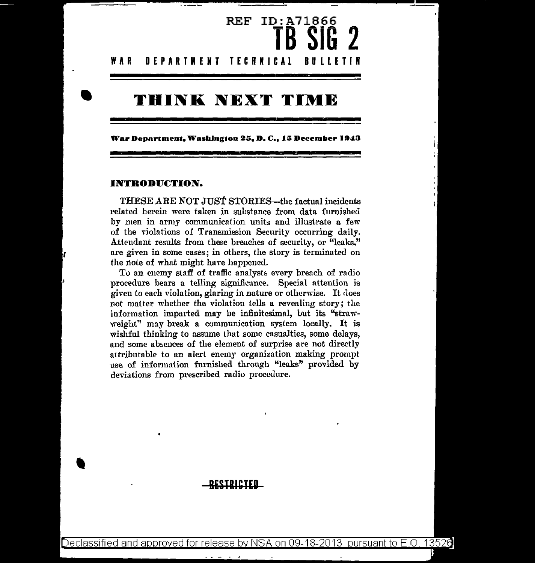# REF ID:A71866 **TB SiG 2 WAR DEPARTMENT TECHNICAL BULLETIN**

# **THINK NEXT TIME**

**War Department, Washb1g•oo** 2G, **D.** C., Hi **Deeember 1943** 

#### **INTRODUCTION.**

•

'

THESE ARE NOT JUST STORIES—the factual incidents related herein were taken in substance from data furnished by men in army communication units and illustrate a few of the violations of Transmission Security occurring daily. Attendant results from these breaches of security, or "leaks," are given in some cases; in others, the story is terminated on the note of what might have happened.

To an enemy staff of traffic analysts every breach of radio procedure bears a telling significunce. Special attention is given to each violation, glaring in nature or otherwise. It does not matter whether the violation tells a revealing story; the information imparted may be infinitesimal, but its "strawweight'' may break a communication system locally. It is wishful thinking to assume that some casualties, some delays, and some absences of the element of surprise are not directly attributable to an alert enemy organization making prompt use of informntion furnished through "leaks" provided by deviations from prescribed radio procedure.

### **RUTRICTED**

Declassified and approved for release by NSA on 09-18-2013 pursuant to E.O. 13526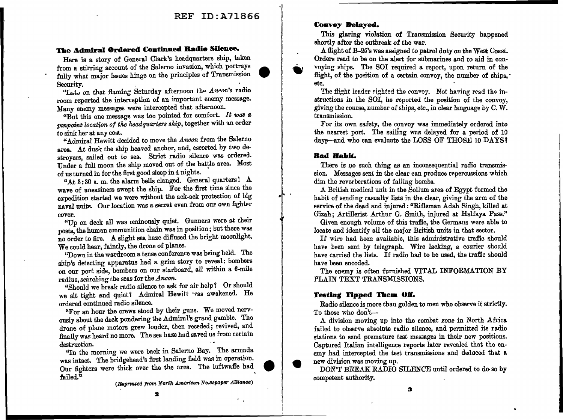### **The Admiral Ordered Continued Radio Sllenee.**

Here is a story of General Clark's headquarters ship, taken from a stirring account of the Salerno invasion, which portrays fully what major issues hinge on the principles of Transmission Security. The security of the security of the security.

"Late on that flaming Saturday afternoon the Ancon's radio room reported the interception of an important enemy message. Many enemy messages were intercepted that afternoon.

"But this one message was too pointed for comfort. *It was a pinpoint location of the headquarters ship, together with an order* to sink her at any cost..

"Admiral Hewitt decided to move the *Ancon* from the Salerno area. At dusk the ship heaved anchor, and, escorted by two destroyers, sailed out to sea. Strict radio silence was ordered. Under a full moon the ship moved out of the battle area. Most of us turned in for the first good sleep in 4 nights.

"At 3: 30 a. m. the alarm bells clanged. General quarters! A wave of uneasiness swept the ship. For the first time since the expedition started we were without the ack-ack protection of big naval units. Our location was a secret even from our own fighter cover.

"Up on deck all was ominously quiet. Gunners were at their posts, the human ammunition chain was in position; but there was no order to fire. A slight sea haze diffused the bright moonlight. We could hear, faintly, the drone of planes.

"Down in the wardroom a tense conference was being held. The ship's detecting apparatus had a grim story to reveal: bombers on our port side, bombers on our starboard, all within a 6-mile radius, searching the seas for the Ancon.

"Should we break radio silence to ask for air help? Or should we sit tight and quiet? Admiral Hewitt reas awakened. He ordered continued radio silence.

"For an hour the crews stood by their guns. We moved nervously about the deck pondering the Admiral's grand gamble. The drone of plane motors grew louder, then receded; revived, and finally was heard no more. The sea haze had saved us from certain destruction.

"In the morning we were back in Salerno Bay. The armada was intact. The bridgehead's first landing field was in operation. Our fighters were thick over the the area. The luftwaffe had failed."  $\mathbf{1}$ 

(Reprinted from North American Newspaper Alliance)

#### **Convoy Delayed.**

This glaring violation of Transmission Security happened shortly after the outbreak of the war.

A flight of B-25's was assigned to patrol duty on the West Coast. Orders read to be on the alert for submarines and to aid in convoying ships. The SOI required a report, upon return of the flight, of the position of a certain convoy, the number of ships, etc.

The flight leader sighted the convoy. Not having read the instructions in the SOI, he reported the position of the convoy, giving the course, number of ships, etc., in clear language by C. W. transmission.

For its own safety, the convoy was immediately ordered into the nearest port. The sailing was delayed for a period of 10 days—and who can evaluate the LOSS OF THOSE 10 DAYS?

### **Bad Habit.**

There is no such thing as an inconsequential radio transmission. Messages sent in the clear can produce repercussions which dim the reverberations of falling bombs.

A British medical unit in the Sollum area of Egypt formed the habit of sending casualty lists in the clear, giving the arm of the service of the dead and injured: "Rifleman Adah Singh, killed at Gizah; Artillerist Arthur G. Smith, injured at Halfaya Pass."

Given enough volume of this traffic, the Germans were able to locate and identify all the major British units in that sector.

If wire had been available, this administrative traffic should have been sent by telegraph. Wire lacking, a courier should have carried the lists. If radio had to be used, the traffic should have been encoded.

The enemy is often furnished VITAL INFORMATION BY PLAIN TEXT TRANSMISSIONS.

### **Testing Tipped Them Off.**

Radio silence is more than golden to men who observe it strictly. To those who don't-

A division moving up into the combat zone in North Africa failed to observe absolute radio silence, and permitted its radio stations to send premature test messages in their new positions. Captured Italian intelligence reports later revealed that the enemy had intercepted the test transmissions and deduced that a new division was moving up.

DON'T BREAK RADIO SILENCE until ordered to do- so by competent authority.

2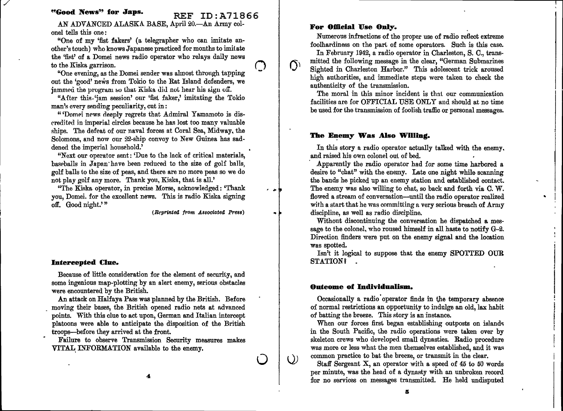## **"Good News" for Japs.** REF ID:A71866

*/* 

AN ADVANCED ALASKA BASE, April 20.-An Army colonel tells this one :

"One of my 'fist fakers' (a telegrapher who can imitate another's touch) who knows Japanese practiced for months to imitate the 'fist' of a Domei news radio operator who relays daily news<br>to the Kiska garrison.

"One evening, as the Domei sender was almost throngh tapping out the 'good' news from Tokio to the Rat Island defenders, we jammed the program so that Kiska did not hear his sign off.

"Alter this.'jam session' our 'fist faker,' imitating the Tokio man's every sending peculiarity, cut in:

"'Domei news deeply regrets that Admiral Yamamoto is disrreditecl in imperial circles because he has Jost too many valuable ships. The defeat of our naval forces at Coral Sea, Midway, the Solomons, and now our 22-ship convoy to New Guinea has saddened the imperial household.'

"Next our operator sent: 'Due to the lack of critical materials, baseballs in Japan have been reduced to the size of golf balls, golf balls to the size of peas, and there are no more peas so we do not play golf any more. Thank you, Kiska, that is all.'

"The Kiska operator, in precise Morse, acknowledged: "Thank you, Domei. for the excellent news. This is radio Kiska signing off. Good night.'"

(Reprinted from Associatea Press)

**0** 

 $\circlearrowright$ 

..

 $\Delta t$ 

 $\Omega$ 

#### **Intercepted Clue.**

Because of little consideration for the element of security, and some ingenious map-plotting by an alert enemy, serious obstacles were encountered by the British.

An attack on Halfaya Pass was planned by the British. Before moving their bases, the British opened radio nets at advanced points. With this clue to act upon, German and Italian intercept platoons were able to anticipate the disposition of the British troops-before they arrived at the front.

Failure to observe Transmission Security measures makes VITAL INFORMATION available to the enemy.

#### For Official Use Only.

Numerous infractions of the proper use of radio reflect extreme foolhardiness on the part of some operators. Such is this case.

In February 1942, a radio operator in Charleston, S. C., transmitted the following message in the clear, "German Submarines Sighted in Charleston Harbor." This adolescent trick aroused high authorities, and immediate steps were taken to check the authenticity of the transmission.

The moral in this minor incident is that our communication facilities nre for OFFICIAL USE ONLY and should at no time be used for the transmission of foolish traffic or personal messages.

#### **The Enemy Was Also Willing.**

In this story a radio operator actually talked with the enemy, and raised his own colonel out of bed.

· Apparently the radio operator had for some time harbored a desire to "chat" with the enemy. Late one night while scanning the bands he picked up an enemy station and established eontact. The enemy was also willing to chat, so back and forth via C. W. flowed a stream of conversation--until the radio operator realized with a start that he was committing a very serious breach of Army discipline, as well as radio discipline.

..

Without discontinuing the conversation he dispatched a message to the colonel, who roused himself in all haste to notify  $G-2$ . Direction finders were put on the enemy signal and the location was spotted.

Isn't it logical to suppose that the enemy SPOTTED OUR STATION?

#### **Outeome of Individualism.**

Occasionally a radio' operator finds in the temporary absence of normal restrictions an opportunity to indulge an old, lax habit of batting the breeze. This story is an instance.

When our forces first began establishing outposts on islands in the South Pacific, the radio operations were taken over by skeleton crews who developed small dynasties. Radio procedure was more or less what the men themselves established, and it was common practice to bat the breeze, or transmit in the clear.

Staff Sergeant X, an operator with a speed of 45 to 50 words per minute, was the head of a dynasty with an unbroken record for no services on messages transmitted. He held undisputed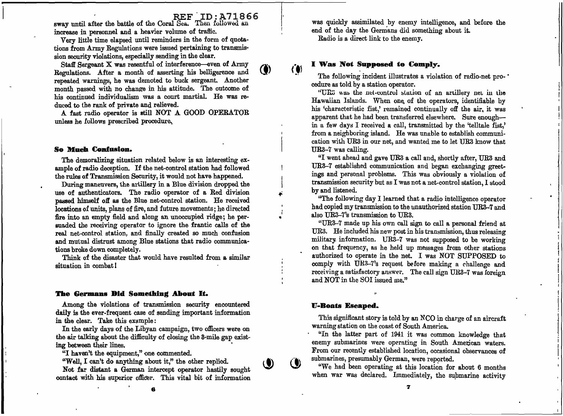1. I r

..

sway until after the battle of the Coral  $S$ ea. Then followed an increase in personnel and a heavier volume of traffic.

Very little time elapsed until reminders in the form of quotations from Army Regulations were issued pertaining to transmission security violations, especially sending in the clear.

Staff Sergeant X was resentful of interference-even of Army Regulations. After a month of asserting his belligerence and \~) repeated warnings, he was demoted to buck sergeant. Another month passed with no change in his attitude. The outcome of his continued individualism was a court martial. He was reduced to the rank of private and relieved.

A fast radio operator is still NOT A GOOD OPERATOR unless he follows prescribed procedure.

#### **So Mueb Confusion.**

The demoralizing situation related below is an interesting example of radio deception. If the net-control station had followed the rules of Transmission Security, it would not have happened.

During maneuvers, the artillery in a Blue division dropped the use of authenticators. The radio operator of a Red division passed himself off as the Blue net-control station. He received locations of units, plans of fire, nnd future movements; he directed fire into an empty field and along an unoccupied ridge; he persuaded the receiving operator to ignore the frantic calls of the real net-control station, and finally created so much confusion and mutual distrust among Blue stations that radio communications broke down completely.

Think of the disaster that would have resulted from a similar situation in combat l

#### **The Germans Did Something About It.**

Among the violations of transmission security encountered daily is the ever-frequent case of sending important information in the clear. Take this example:

In the early days of the Libyan campaign, two officers were on the air talking about the difficulty of closing the 3-mile gap existing between their lines.

"I haven't the equipment," one commented.

"Well, I can't do anything about it," the other replied.

Not far distant a German intercept operator hastily sought contact with his superior officer. This vital bit of information

was quickly assimilated by enemy intelligence, and before the end of the day the Germans did something about it. Radio is a direct link to the enemy.

#### **I \Vas Not Supposed to Comply.**

The following incident illustrates a violation of radio-net procedure as told by a station operator.

"UR3 was the net-control station of an artillery net in the Hawaiian Islands. When one, of the operators, identifiable by his 'charncteristic fist,' remained continually off the air. it was apparent that he had been transferred elsewhere. Sure enoughin a few days I received a call, transmitted by the 'telltale fist,' from a neighboring island. He was unable to establish communication with UHa in our net, and wanted me to let UR3 know that UR3-7 was calling.

"I went ahead and gave UR3 a call and, shortly after, UR3 and UR3-7 established communication and began exchanging greetmgs and personal problems. This was obviously a violation of transmission security but as I was not a net-control station, I stood by and listened.

''The following day I learned that a radio intelligence operator had copied my transmission to the unauthorized station UR3-7 and also UR3-7's transmission to UR3.

"UR3-7 made up his own call sign to call a personal friend at UR3. He included his new post in his transmission, thus releasing military information. UR3-7 was not supposed to be working on that frequency, as he held up messages from other stations authorized to operate in the net. I was NOT SUPPOSED to comply with UR3-7's request before making a challenge and receiving a satisfactory answer. The call sign UR3-7 was foreign and NOT in the *SOI* issued me."

#### **1J-Boats Eseaped.**

This significant story is told by an NCO in charge of an aircraft warning station on the coast of South America.

"In the latter part of 1941 it was common knowledge that enemy submarines were operating in South American waters. From our recently established location, occasional observances of submarines, presumably German, were reported.

"We had been operating at this location for about 6 months when war was declared. Immediately, the submarine activity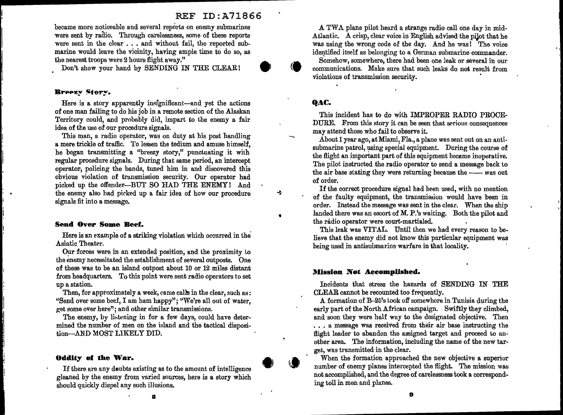became more noticeable and several reports on enemy submarines were sent by radio. Through carelessness, some of these reports were sent in the clear . . . and without fail, the reported submarine would leave the vicinity, having ample time to do so, as the nearest troops were 2 hours flight away."

Don't show your hand by SENDING IN THE CLEAR!

#### Breezy Story.

Here is a story apparently insignificant-and yet the actions of one man failing to do his job in a remote section of the Alaskan Territory could, and probably did, impart to the enemy a fair idea of the use of our procedure signals.

This man, a radio operator, was on duty at his post handling a mere trickle of traffic. To lessen the tedium and amuse himself, he began transmitting a "breezy story," punctuating it with regular procedure signals. During that same period, an intercept operator, policing the bands, tuned him in and discovered this obvious violation of transmission security. Our operator had picked up the offender-BUT SO HAD THE ENEMY! And the enemy also had pirked up a fair idea of how our procedure signals fit into a message.

#### **Send Over Some Beef.**

Here is an example of a striking violation which occurred in ihe· Asiatic Theater.

Our forces were in an extended position, and ihe proximity to the enemy necessitated the establishment of several outposts. One of these was to be an island outpost about 10 or 12 miles distant from headquarters. To this point were sent radio operators to set up a station.

Then, for approximately a week, came calls in the clear, such as: "Send over some beef, I am ham happy"; "We're all out of water, get some over here"; and other similar transmissions.

The enemy, by listening in for a few days, could have determined the number of men on the island and the tactical disposition-AND MOST LIKELY DID.

#### **Oddity of the War.**

If there are any deubts existing as to the amount of intelligence gleaned by the enemy from varied sources, here is a story which should quickly dispel any such illusions.

A TWA plane pilot heard a strange radio call one day in mid-Atlantic. A crisp, clear voice in English advised the pilot that he was using the wrong code of the day. And he was! The voice identified itself as belonging to a German submarine commander.

'•

Somehow, somewhere, there had been one leak or several in our communications. Make sure that such leaks do not result from violations of transmission security .

#### **qAC.**

•

÷

This incident has to do wiih IMPROPER RADIO PROCE-DURE. From this story ii can be seen that serious consequences may attend those who fail to observe it.

About 1 year ago, at Miami, Fla., a plane was sent out on an antisubmarine patrol, using special equipment. During the course of the flight an important part of this equipment became inoperative. The pilot instructed the radio operator to send a message back to the air base stating they were returning because the  $-\rightarrow$ was out of order.

If the correct procedure signal had been used, with no mention of the faulty equipment, the transmission would have been in order. Instead the message was sent in the clear. When the ship landed there was an escort of M. P.'s waiting. Both the pilot and the radio operator were court-martialed.

This leak was VITAL. Until then we had every reason to believe that the enemy did not know this particular equipment was being used in antisubmarine warfare in that locality.

#### **Mission Not Aeeomplished.**

Incidents that stress the hazards of SENDING IN THE CLEAR cannot be recounted too frequently.

A formation of B-25's iook off somewhere in Tunisia during the early part of the North African campaign. Swiftly they climbed, and soon they were half wuy to the designated objective. Then ... a message was received from their air base instructing the flight leader to abandon the assigned target and proceed to another area. The information, including the name of the new target, was transmitted in the clear.

When the formation approached the new objective a superior number of enemy planes intercepted the flight. The mission was not accomplished, and the degree of carelessness took a corresponding toll in men and planes.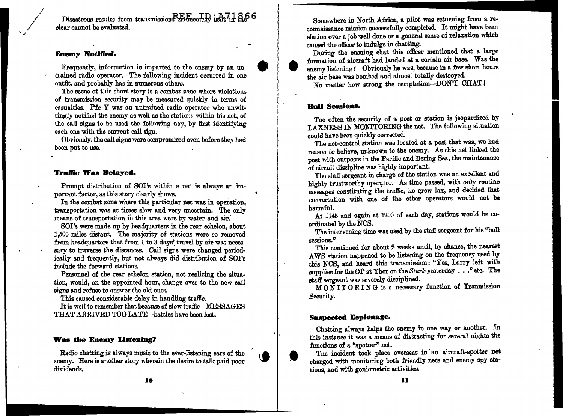Disastrous results from transmission $R_{\text{H}}F_{\text{meons}}\Gamma$  in  $\lambda$  7.1  $\%$  6 clear cannot be evaluated. •

#### **Enemy Notified.**

Frequently, information is imparted to the enemy by an untrained radio operator. The following incident occurred in one outfit. and probably has in numerous others.

The scene of this short story is a combat zone where violations of transmission security may be measured quickly in terms of casualties. Pfc Y was an untrained radio operator who unwittingly notified the enemy as well as the stations within his net, of the call signs to be used the following day, by first identifying each one with the current call sign.

Obviously, the call signs were compromised even before they had been put to use.

#### **Traffic Was Delayed.**

Prompt distribution of SOI's within a net is always an important factor, as this story clearly shows.

In the combat zone where this particular net was in operation. transportation was at times slow and very uncertain. The only means of transportation in this area were by water and air.

SOI's were made up by headquarters in the rear echelon, about 1,500 miles distant. The majority of stations were so removed from headquarters that from 1 to 3 days' travel by air was necessary to traverse the distances. Call signs were changed periodically and frequently, but not always did distribution of SOI's include the forward stations.

Personnel of the rear echelon station, not realizing the situation, would, on the appointed hour, change over to the new call signs and refuse to answer the old ones.

This caused considerable delay in handling traffic.

It is well to remember that because of slow traffic--MESSAGES THAT ARRIVED TOO LA.TE-battles have been lost.

#### **Was the Enemy Listening?**

Radio chatting is always music to the ever-listening ears of the enemy. Here is another story wherein the desire to talk paid poor dividends.

Somewhere in North Africa, a pilot was returning from a reconnaissance mission successfully completed. It might have been elation over a job well done or a general sense of relaxation which caused the officer to indulge in chatting.

During the ensuing chat this officer mentioned that a large formation of aircraft had landed at a certain air base. Was the enemy listening! Obviously he was, because in a few short hours the air base was bombed and almost totally destroyed.

No matter how strong the temptation-DON'T CHAT!

#### **Ball Sessions.**

Too often the security of a post or station is jeopardized by LAXNESS IN MONITORING the net. The following situation could have been quickly corrected.

The net-control station was located at a post that was, we had reason to believe, unknown to the enemy. As this net linked the post with outposts in the Parific and Bering Sea, the maintenance of circuit discipline was highly important.

The staff sergeant in charge of the station was an excellent and highly trustworthy operator. As time passed, with only routine messages constituting the traffic, he grew lax, and decided that conversation with one of the other operators would not be harmful.

At 1145 and again at 1200 of each day, stations would be coordinated bv the NOS.

The intervening time was used by the staff sergeant for his "bull sessions."

This continued for about 2 weeks until, by chance, the nearest AWS station happened to be listening on the frequency used by this NCS, and heard this transmission : "Yes, Larry left with supplies for the OP at Ybor on the Stark yesterday  $\ldots$  " etc. The staff sergeant was severely disciplined.

*M* 0 N I T 0 R I N G is a necessary function of Tranmission Security.

#### **Suspected Espionage.**

Chatting always helps the enemy in one way or another. In this instance it was a means of distracting for several nights the functions of a "spotter" net.

The incident took place overseas in an aircraft-spotter net charged with monitoring both friendly nets and enemy spy stations, and with goniometric activities.